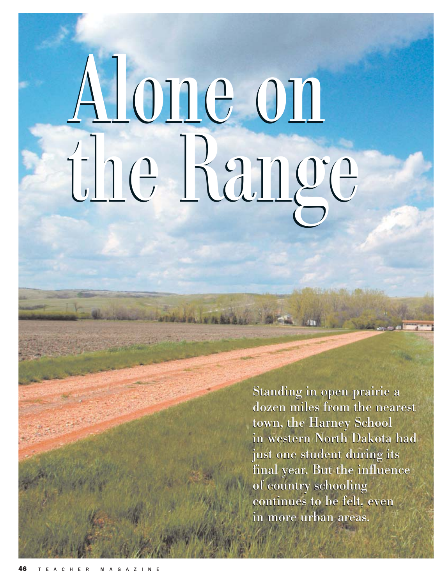## Alone on the Range Alone on the Range

Standing in open prairie a Standing in open prairie a dozen miles from the nearest dozen miles from the nearest town, the Harney School town, the Harney School in western North Dakota had in western North Dakota had just one student during its just one student during its final year. But the influence final year. But the influence of country schooling of country schooling continues to be felt, even continues to be felt, even in more urban areas. in more urban areas.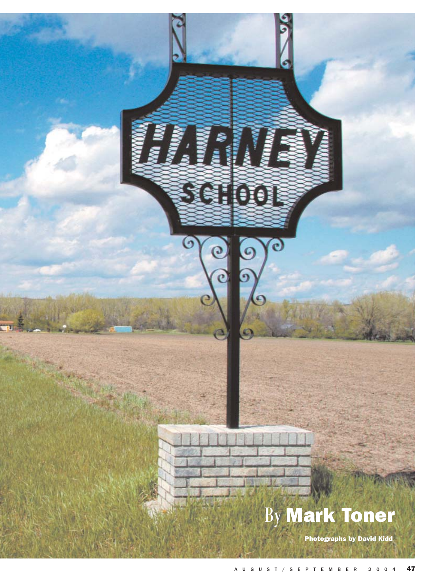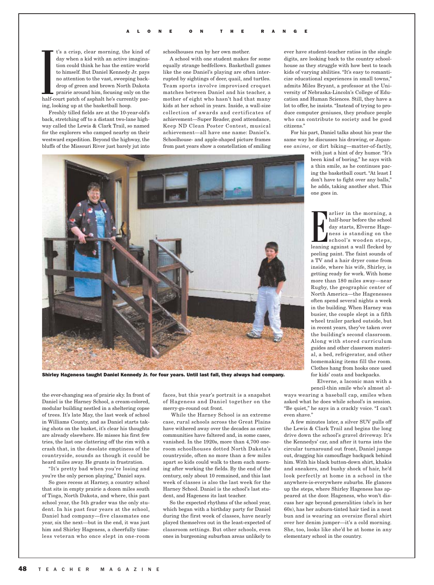t's a crisp, clear morning, the kind of day when a kid with an active imagination could think he has the entire world to himself. But Daniel Kennedy Jr. pays no attention to the vast, sweeping backdrop of green and brown North Dakota prairie around him, focusing only on the half-court patch of asphalt he's currently pacing, looking up at the basketball hoop. **ILLENGER**<br> **ILLENGER**<br> **ILLENGER**<br> **ILLENGER** 

Freshly tilled fields are at the 10-year-old's back, stretching off to a distant two-lane highway called the Lewis & Clark Trail, so named for the explorers who camped nearby on their westward expedition. Beyond the highway, the bluffs of the Missouri River just barely jut into schoolhouses run by her own mother.

A school with one student makes for some equally strange bedfellows. Basketball games like the one Daniel's playing are often interrupted by sightings of deer, quail, and turtles. Team sports involve improvised croquet matches between Daniel and his teacher, a mother of eight who hasn't had that many kids at her school in years. Inside, a wall-size collection of awards and certificates of achievement—Super Reader, good attendance, Keep ND Clean Poster Contest, musical achievement—all have one name: Daniel's. Schoolhouse- and apple-shaped picture frames from past years show a constellation of smiling ever have student-teacher ratios in the single digits, are looking back to the country schoolhouse as they struggle with how best to teach kids of varying abilities. "It's easy to romanticize educational experiences in small towns," admits Miles Bryant, a professor at the University of Nebraska-Lincoln's College of Education and Human Sciences. Still, they have a lot to offer, he insists. "Instead of trying to produce computer geniuses, they produce people who can contribute to society and be good citizens."

For his part, Daniel talks about his year the same way he discusses his drawing, or Japanese *anime*, or dirt biking—matter-of-factly,

> with just a hint of dry humor. "It's been kind of boring," he says with a thin smile, as he continues pacing the basketball court. "At least I don't have to fight over any balls," he adds, taking another shot. This one goes in.

> arlier in the morning, a<br>half-hour before the school<br>day starts, Elverne Hage-<br>ness is standing on the<br>school's wooden steps,<br>leaning against a wall flecked by arlier in the morning, a half-hour before the school day starts, Elverne Hageness is standing on the school's wooden steps, peeling paint. The faint sounds of a TV and a hair dryer come from inside, where his wife, Shirley, is getting ready for work. With home more than 180 miles away—near Rugby, the geographic center of North America—the Hagenesses often spend several nights a week in the building. When Harney was busier, the couple slept in a fifth wheel trailer parked outside, but in recent years, they've taken over the building's second classroom. Along with stored curriculum guides and other classroom material, a bed, refrigerator, and other homemaking items fill the room. Clothes hang from hooks once used for kids' coats and backpacks.

> Elverne, a laconic man with a pencil-thin smile who's almost al-

ways wearing a baseball cap, smiles when asked what he does while school's in session. "Be quiet," he says in a crackly voice. "I can't even shave."

A few minutes later, a silver SUV pulls off the Lewis & Clark Trail and begins the long drive down the school's gravel driveway. It's the Kennedys' car, and after it turns into the circular turnaround out front, Daniel jumps out, dragging his camouflage backpack behind him. With his black button-down shirt, khakis and sneakers, and bushy shock of hair, he'd look perfectly at home in a school in the anywhere-is-everywhere suburbs. He glances up the steps, where Shirley Hageness has appeared at the door. Hageness, who won't discuss her age beyond generalities (she's in her 60s), has her auburn-tinted hair tied in a neat bun and is wearing an oversize floral shirt over her denim jumper—it's a cold morning. She, too, looks like she'd be at home in any elementary school in the country.



Shirley Hageness taught Daniel Kennedy Jr. for four years. Until last fall, they always had company.

the ever-changing sea of prairie sky. In front of Daniel is the Harney School, a cream-colored, modular building nestled in a sheltering copse of trees. It's late May, the last week of school in Williams County, and as Daniel starts taking shots on the basket, it's clear his thoughts are already elsewhere. He misses his first few tries, the last one clattering off the rim with a crash that, in the desolate emptiness of the countryside, sounds as though it could be heard miles away. He grunts in frustration.

"It's pretty bad when you're losing and you're the only person playing," Daniel says.

So goes recess at Harney, a country school that sits in empty prairie a dozen miles south of Tioga, North Dakota, and where, this past school year, the 5th grader was the only student. In his past four years at the school, Daniel had company—five classmates one year, six the next—but in the end, it was just him and Shirley Hageness, a cheerfully timeless veteran who once slept in one-room faces, but this year's portrait is a snapshot of Hageness and Daniel together on the merry-go-round out front.

While the Harney School is an extreme case, rural schools across the Great Plains have withered away over the decades as entire communities have faltered and, in some cases, vanished. In the 1920s, more than 4,700 oneroom schoolhouses dotted North Dakota's countryside, often no more than a few miles apart so kids could walk to them each morning after working the fields. By the end of the century, only about 10 remained, and this last week of classes is also the last week for the Harney School. Daniel is the school's last student, and Hageness its last teacher.

So the expected rhythms of the school year, which began with a birthday party for Daniel during the first week of classes, have nearly played themselves out in the least-expected of classroom settings. But other schools, even ones in burgeoning suburban areas unlikely to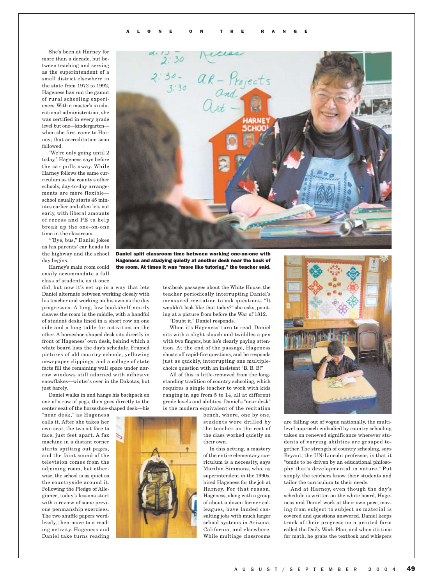## ALONE ON THE RANGE

She's been at Harney for more than a decade, but between teaching and serving as the superintendent of a small district elsewhere in the state from 1972 to 1992, Hageness has run the gamut of rural schooling experiences. With a master's in educational administration, she was certified in every grade level but one—kindergarten when she first came to Harney; that accreditation soon followed.

"We're only going until 2 today," Hageness says before the car pulls away. While Harney follows the same curriculum as the county's other schools, day-to-day arrangements are more flexible school usually starts 45 minutes earlier and often lets out early, with liberal amounts of recess and PE to help break up the one-on-one time in the classroom.

" 'Bye, bus," Daniel jokes as his parents' car heads to the highway and the school day begins.

Harney's main room could easily accommodate a full class of students, as it once

did, but now it's set up in a way that lets Daniel alternate between working closely with his teacher and working on his own as the day progresses. A long, low bookshelf nearly cleaves the room in the middle, with a handful of student desks lined in a short row on one side and a long table for activities on the other. A horseshoe-shaped desk sits directly in front of Hageness' own desk, behind which a white board lists the day's schedule. Framed pictures of old country schools, yellowing newspaper clippings, and a collage of state facts fill the remaining wall space under narrow windows still adorned with adhesive snowflakes—winter's over in the Dakotas, but just barely.

Daniel walks in and hangs his backpack on one of a row of pegs, then goes directly to the center seat of the horseshoe-shaped desk—his

"near desk," as Hageness calls it. After she takes her own seat, the two sit face to face, just feet apart. A fax machine in a distant corner starts spitting out pages, and the faint sound of the television comes from the adjoining room, but otherwise, the school is as quiet as the countryside around it. Following the Pledge of Allegiance, today's lessons start with a review of some previous penmanship exercises. The two shuffle papers wordlessly, then move to a reading activity. Hageness and Daniel take turns reading



Daniel split classroom time between working one-on-one with Hageness and studying quietly at another desk near the back of the room. At times it was "more like tutoring," the teacher said.

textbook passages about the White House, the teacher periodically interrupting Daniel's measured recitation to ask questions. "It wouldn't look like that today?" she asks, pointing at a picture from before the War of 1812. "Doubt it," Daniel responds.

When it's Hageness' turn to read, Daniel sits with a slight slouch and twiddles a pen with two fingers, but he's clearly paying attention. At the end of the passage, Hageness shoots off rapid-fire questions, and he responds just as quickly, interrupting one multiplechoice question with an insistent "B. B. B!"

All of this is little-removed from the longstanding tradition of country schooling, which requires a single teacher to work with kids ranging in age from 5 to 14, all at different grade levels and abilities. Daniel's "near desk" is the modern equivalent of the recitation

bench, where, one by one, students were drilled by the teacher as the rest of the class worked quietly on their own.

In this setting, a mastery of the entire elementary curriculum is a necessity, says Marilyn Simmons, who, as superintendent in the 1990s, hired Hageness for the job at Harney. For that reason, Hageness, along with a group of about a dozen former colleagues, have landed consulting jobs with much larger school systems in Arizona, California, and elsewhere. While multiage classrooms



are falling out of vogue nationally, the multilevel approach embodied by country schooling takes on renewed significance wherever students of varying abilities are grouped together. The strength of country schooling, says Bryant, the UN-Lincoln professor, is that it "tends to be driven by an educational philosophy that's developmental in nature." Put simply, the teachers know their students and tailor the curriculum to their needs.

And at Harney, even though the day's schedule is written on the white board, Hageness and Daniel work at their own pace, moving from subject to subject as material is covered and questions answered. Daniel keeps track of their progress on a printed form called the Daily Work Plan, and when it's time for math, he grabs the textbook and whispers

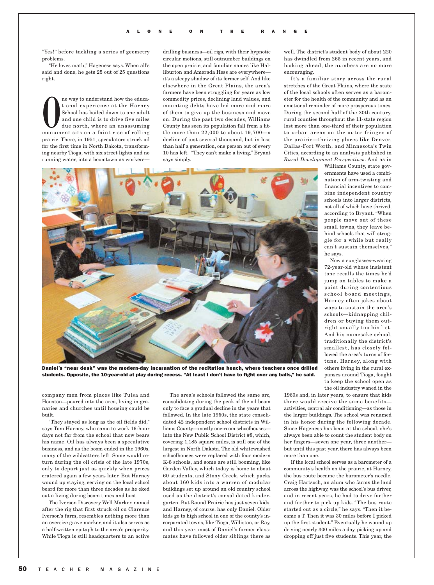"Yes!" before tackling a series of geometry problems.

"He loves math," Hageness says. When all's said and done, he gets 25 out of 25 questions right.

The way to understand how the educa-<br>tional experience at the Harney<br>School has boiled down to one adult<br>and one child is to drive five miles<br>due north, where an unassuming<br>monument sits on a faint rise of rolling ne way to understand how the educational experience at the Harney School has boiled down to one adult and one child is to drive five miles due north, where an unassuming prairie. There, in 1951, speculators struck oil for the first time in North Dakota, transforming nearby Tioga, with six street lights and no running water, into a boomtown as workersdrilling business—oil rigs, with their hypnotic circular motions, still outnumber buildings on the open prairie, and familiar names like Halliburton and Amerada Hess are everywhere it's a sleepy shadow of its former self. And like elsewhere in the Great Plains, the area's farmers have been struggling for years as low commodity prices, declining land values, and mounting debts have led more and more of them to give up the business and move on. During the past two decades, Williams County has seen its population fall from a little more than 22,000 to about 19,700—a decline of just several thousand, but in less than half a generation, one person out of every 10 has left. "They can't make a living," Bryant says simply.

well. The district's student body of about 220 has dwindled from 265 in recent years, and looking ahead, the numbers are no more encouraging.

It's a familiar story across the rural stretches of the Great Plains, where the state of the local schools often serves as a barometer for the health of the community and as an emotional reminder of more prosperous times. During the second half of the 20th century, rural counties throughout the 11-state region lost more than one-third of their population to urban areas on the outer fringes of the prairie—thriving places like Denver, Dallas-Fort Worth, and Minnesota's Twin Cities, according to an analysis published in *Rural Development Perspectives*. And as in

he says.

Williams County, state governments have used a combination of arm-twisting and financial incentives to combine independent country schools into larger districts, not all of which have thrived, according to Bryant. "When people move out of these small towns, they leave behind schools that will struggle for a while but really can't sustain themselves,"

Now a sunglasses-wearing 72-year-old whose insistent tone recalls the times he'd jump on tables to make a point during contentious school board meetings, Harney often jokes about ways to sustain the area's schools—kidnapping children or buying them outright usually top his list. And his namesake school, traditionally the district's smallest, has closely followed the area's turns of fortune. Harney, along with others living in the rural expanses around Tioga, fought to keep the school open as



Daniel's "near desk" was the modern-day incarnation of the recitation bench, where teachers once drilled students. Opposite, the 10-year-old at play during recess. "At least I don't have to fight over any balls," he said.

company men from places like Tulsa and Houston—poured into the area, living in granaries and churches until housing could be built.

"They stayed as long as the oil fields did," says Tom Harney, who came to work 16-hour days not far from the school that now bears his name. Oil has always been a speculative business, and as the boom ended in the 1960s, many of the wildcatters left. Some would return during the oil crisis of the late 1970s, only to depart just as quickly when prices cratered again a few years later. But Harney wound up staying, serving on the local school board for more than three decades as he eked out a living during boom times and bust.

The Iverson Discovery Well Marker, named after the rig that first struck oil on Clarence Iverson's farm, resembles nothing more than an oversize grave marker, and it also serves as a half-written epitaph to the area's prosperity. While Tioga is still headquarters to an active

The area's schools followed the same arc, consolidating during the peak of the oil boom only to face a gradual decline in the years that followed. In the late 1950s, the state consolidated 42 independent school districts in Williams County—mostly one-room schoolhouses into the New Public School District #8, which, covering 1,185 square miles, is still one of the largest in North Dakota. The old whitewashed schoolhouses were replaced with four modern K-8 schools, and some are still booming, like Garden Valley, which today is home to about 60 students, and Stony Creek, which packs about 160 kids into a warren of modular buildings set up around an old country school used as the district's consolidated kindergarten. But Round Prairie has just seven kids, and Harney, of course, has only Daniel. Older kids go to high school in one of the county's incorporated towns, like Tioga, Williston, or Ray, and this year, most of Daniel's former classmates have followed older siblings there as

the oil industry waned in the 1960s and, in later years, to ensure that kids there would receive the same benefits activities, central air conditioning—as those in the larger buildings. The school was renamed in his honor during the following decade. Since Hageness has been at the school, she's always been able to count the student body on her fingers—seven one year, three another but until this past year, there has always been more than one.

If the local school serves as a barometer of a community's health on the prairie, at Harney, the bus route became the barometer's needle. Craig Hartsoch, an alum who farms the land across the highway, was the school's bus driver, and in recent years, he had to drive farther and farther to pick up kids. "The bus route started out as a circle," he says. "Then it became a T. Then it was 30 miles before I picked up the first student." Eventually he wound up driving nearly 300 miles a day, picking up and dropping off just five students. This year, the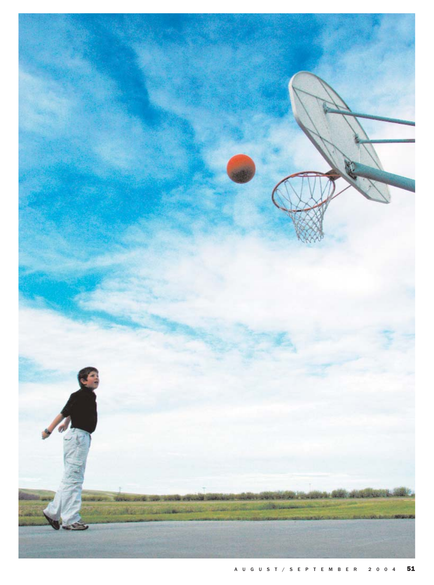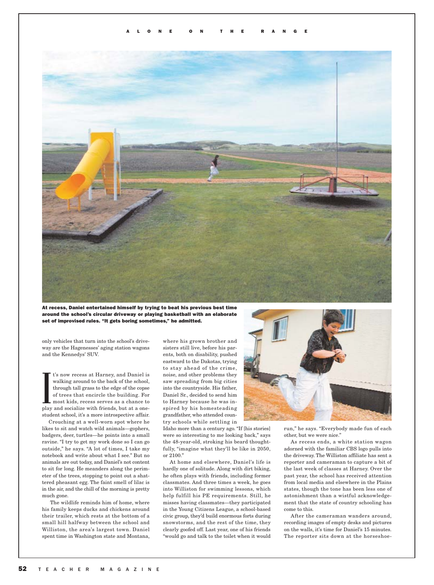



At recess, Daniel entertained himself by trying to beat his previous best time around the school's circular driveway or playing basketball with an elaborate set of improvised rules. "It gets boring sometimes," he admitted.

only vehicles that turn into the school's driveway are the Hagenesses' aging station wagons and the Kennedys' SUV.

It's now recess at Harney, and Daniel is<br>walking around to the back of the school,<br>through tall grass to the edge of the copse<br>of trees that encircle the building. For<br>most kids, recess serves as a chance to<br>play and socia t's now recess at Harney, and Daniel is walking around to the back of the school, through tall grass to the edge of the copse of trees that encircle the building. For most kids, recess serves as a chance to student school, it's a more introspective affair.

Crouching at a well-worn spot where he likes to sit and watch wild animals—gophers, badgers, deer, turtles—he points into a small ravine. "I try to get my work done so I can go outside," he says. "A lot of times, I take my notebook and write about what I see." But no animals are out today, and Daniel's not content to sit for long. He meanders along the perimeter of the trees, stopping to point out a shattered pheasant egg. The faint smell of lilac is in the air, and the chill of the morning is pretty much gone.

The wildlife reminds him of home, where his family keeps ducks and chickens around their trailer, which rests at the bottom of a small hill halfway between the school and Williston, the area's largest town. Daniel spent time in Washington state and Montana,

where his grown brother and sisters still live, before his parents, both on disability, pushed eastward to the Dakotas, trying to stay ahead of the crime, noise, and other problems they saw spreading from big cities into the countryside. His father, Daniel Sr., decided to send him to Harney because he was inspired by his homesteading grandfather, who attended country schools while settling in

Idaho more than a century ago. "If [his stories] were so interesting to me looking back," says the 48-year-old, stroking his beard thoughtfully, "imagine what they'll be like in 2050, or 2100."

At home and elsewhere, Daniel's life is hardly one of solitude. Along with dirt biking, he often plays with friends, including former classmates. And three times a week, he goes into Williston for swimming lessons, which help fulfill his PE requirements. Still, he misses having classmates—they participated in the Young Citizens League, a school-based civic group, they'd build enormous forts during snowstorms, and the rest of the time, they clearly goofed off. Last year, one of his friends "would go and talk to the toilet when it would



run," he says. "Everybody made fun of each other, but we were nice."

As recess ends, a white station wagon adorned with the familiar CBS logo pulls into the driveway. The Williston affiliate has sent a reporter and cameraman to capture a bit of the last week of classes at Harney. Over the past year, the school has received attention from local media and elsewhere in the Plains states, though the tone has been less one of astonishment than a wistful acknowledgement that the state of country schooling has come to this.

After the cameraman wanders around, recording images of empty desks and pictures on the walls, it's time for Daniel's 15 minutes. The reporter sits down at the horseshoe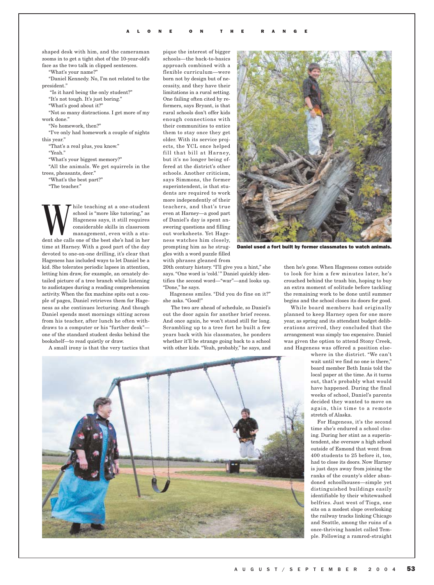shaped desk with him, and the cameraman zooms in to get a tight shot of the 10-year-old's face as the two talk in clipped sentences.

"What's your name?"

"Daniel Kennedy. No, I'm not related to the president."

"Is it hard being the only student?"

"It's not tough. It's just boring."

"What's good about it?"

"Not so many distractions. I get more of my work done."

"No homework, then?"

"I've only had homework a couple of nights this year."

"That's a real plus, you know."

"Yeah."

"What's your biggest memory?"

"All the animals. We get squirrels in the trees, pheasants, deer."

"What's the best part?"

"The teacher."

While teaching at a one-student<br>
school is "more like tutoring," as<br>
Hageness says, it still requires<br>
considerable skills in classroom<br>
management, even with a stu-<br>
dent she calls one of the best she's had in her school is "more like tutoring," as Hageness says, it still requires considerable skills in classroom management, even with a stutime at Harney. With a good part of the day devoted to one-on-one drilling, it's clear that Hageness has included ways to let Daniel be a kid. She tolerates periodic lapses in attention, letting him draw, for example, an ornately detailed picture of a tree branch while listening to audiotapes during a reading comprehension activity. When the fax machine spits out a couple of pages, Daniel retrieves them for Hageness as she continues lecturing. And though Daniel spends most mornings sitting across from his teacher, after lunch he often withdraws to a computer or his "further desk" one of the standard student desks behind the bookshelf—to read quietly or draw.

A small irony is that the very tactics that

pique the interest of bigger schools—the back-to-basics approach combined with a flexible curriculum—were born not by design but of necessity, and they have their limitations in a rural setting. One failing often cited by reformers, says Bryant, is that rural schools don't offer kids enough connections with their communities to entice them to stay once they get older. With its service projects, the YCL once helped fill that bill at Harney, but it's no longer being offered at the district's other schools. Another criticism, says Simmons, the former superintendent, is that students are required to work more independently of their teachers, and that's true even at Harney—a good part of Daniel's day is spent answering questions and filling out worksheets. Yet Hageness watches him closely, prompting him as he struggles with a word puzzle filled with phrases gleaned from

20th century history. "I'll give you a hint," she says. "One word is 'cold.'" Daniel quickly identifies the second word—"war"—and looks up. "Done," he says.

Hageness smiles. "Did you do fine on it?" she asks. "Good!"

The two are ahead of schedule, so Daniel's out the door again for another brief recess. And once again, he won't stand still for long. Scrambling up to a tree fort he built a few years back with his classmates, he ponders whether it'll be strange going back to a school with other kids. "Yeah, probably," he says, and



Daniel used a fort built by former classmates to watch animals.

then he's gone. When Hageness comes outside to look for him a few minutes later, he's crouched behind the trash bin, hoping to buy an extra moment of solitude before tackling the remaining work to be done until summer begins and the school closes its doors for good.

While board members had originally planned to keep Harney open for one more year, as spring and its attendant budget deliberations arrived, they concluded that the arrangement was simply too expensive. Daniel was given the option to attend Stony Creek, and Hageness was offered a position else-

> where in the district. "We can't wait until we find no one is there," board member Beth Innis told the local paper at the time. As it turns out, that's probably what would have happened. During the final weeks of school, Daniel's parents decided they wanted to move on again, this time to a remote stretch of Alaska.

> For Hageness, it's the second time she's endured a school closing. During her stint as a superintendent, she oversaw a high school outside of Esmond that went from 400 students to 25 before it, too, had to close its doors. Now Harney is just days away from joining the ranks of the county's older abandoned schoolhouses—simple yet distinguished buildings easily identifiable by their whitewashed belfries. Just west of Tioga, one sits on a modest slope overlooking the railway tracks linking Chicago and Seattle, among the ruins of a once-thriving hamlet called Temple. Following a ramrod-straight